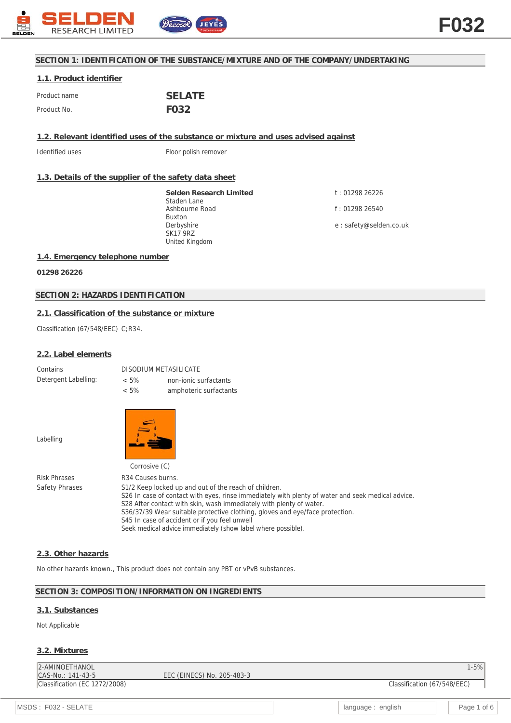

## **SECTION 1: IDENTIFICATION OF THE SUBSTANCE/MIXTURE AND OF THE COMPANY/UNDERTAKING**

## **1.1. Product identifier** Product name **SELATE** Product No. **FO32**

**1.2. Relevant identified uses of the substance or mixture and uses advised against**

Identified uses Floor polish remover

#### **1.3. Details of the supplier of the safety data sheet**

**Selden Research Limited** Staden Lane Ashbourne Road Buxton Derbyshire SK17 9RZ United Kingdom

t : 01298 26226 f : 01298 26540

e : safety@selden.co.uk

### **1.4. Emergency telephone number**

**01298 26226**

## **SECTION 2: HAZARDS IDENTIFICATION**

## **2.1. Classification of the substance or mixture**

Classification (67/548/EEC) C;R34.

#### **2.2. Label elements**

| Contains             | DISODIUM METASILICATE |                        |
|----------------------|-----------------------|------------------------|
| Detergent Labelling: | $< 5\%$               | non-jonic surfactants  |
|                      | $< 5\%$               | amphoteric surfactants |

Labelling



Corrosive (C) Risk Phrases R34 Causes burns. Safety Phrases S1/2 Keep locked up and out of the reach of children. S26 In case of contact with eyes, rinse immediately with plenty of water and seek medical advice. S28 After contact with skin, wash immediately with plenty of water. S36/37/39 Wear suitable protective clothing, gloves and eye/face protection. S45 In case of accident or if you feel unwell Seek medical advice immediately (show label where possible).

#### **2.3. Other hazards**

No other hazards known., This product does not contain any PBT or vPvB substances.

#### **SECTION 3: COMPOSITION/INFORMATION ON INGREDIENTS**

#### **3.1. Substances**

Not Applicable

#### **3.2. Mixtures**

| 2-AMINOETHANOL                |                            | $1 - 5%$                    |
|-------------------------------|----------------------------|-----------------------------|
| $ CAS-No.: 141-43-5$          | EEC (EINECS) No. 205-483-3 |                             |
| Classification (EC 1272/2008) |                            | Classification (67/548/EEC) |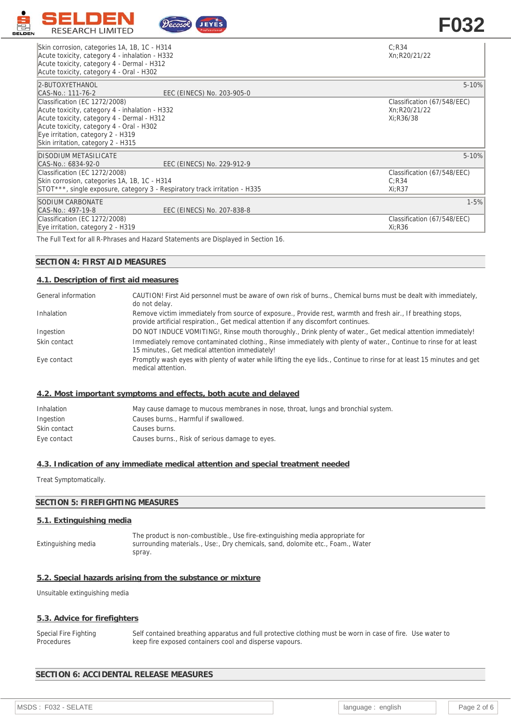

# Skin corrosion, categories 1A, 1B, 1C - H314 Acute toxicity, category 4 - inhalation - H332<br>Acute toxicity, category 4 - Dermal - H312

C;R34 Xn;R20/21/22

Classification (67/548/EEC)

Xi;R36

| Acute toxicity, category 4 - Dermal - H312<br>Acute toxicity, category 4 - Oral - H302                                                                                                                                                               |                                                          |
|------------------------------------------------------------------------------------------------------------------------------------------------------------------------------------------------------------------------------------------------------|----------------------------------------------------------|
| 2-BUTOXYETHANOL<br>EEC (EINECS) No. 203-905-0<br>CAS-No.: 111-76-2                                                                                                                                                                                   | $5 - 10%$                                                |
| Classification (EC 1272/2008)<br>Acute toxicity, category 4 - inhalation - H332<br>Acute toxicity, category 4 - Dermal - H312<br>Acute toxicity, category 4 - Oral - H302<br>Eye irritation, category 2 - H319<br>Skin irritation, category 2 - H315 | Classification (67/548/EEC)<br>Xn:R20/21/22<br>Xi:R36/38 |
| DISODIUM METASILICATE<br>EEC (EINECS) No. 229-912-9<br>CAS-No.: 6834-92-0                                                                                                                                                                            | $5 - 10%$                                                |
| Classification (EC 1272/2008)<br>Skin corrosion, categories 1A, 1B, 1C - H314<br>STOT***, single exposure, category 3 - Respiratory track irritation - H335                                                                                          | Classification (67/548/EEC)<br>C:R34<br>$Xi:$ R37        |
| SODIUM CARBONATE                                                                                                                                                                                                                                     | $1 - 5%$                                                 |

CAS-No.: 497-19-8 EEC (EINECS) No. 207-838-8 Classification (EC 1272/2008) Eye irritation, category 2 - H319

The Full Text for all R-Phrases and Hazard Statements are Displayed in Section 16.

## **SECTION 4: FIRST AID MEASURES**

## **4.1. Description of first aid measures**

| General information | CAUTION! First Aid personnel must be aware of own risk of burns., Chemical burns must be dealt with immediately,<br>do not delay.                                                                   |
|---------------------|-----------------------------------------------------------------------------------------------------------------------------------------------------------------------------------------------------|
| Inhalation          | Remove victim immediately from source of exposure., Provide rest, warmth and fresh air., If breathing stops,<br>provide artificial respiration., Get medical attention if any discomfort continues. |
| Ingestion           | DO NOT INDUCE VOMITING!, Rinse mouth thoroughly., Drink plenty of water., Get medical attention immediately!                                                                                        |
| Skin contact        | Immediately remove contaminated clothing., Rinse immediately with plenty of water., Continue to rinse for at least<br>15 minutes., Get medical attention immediately!                               |
| Eye contact         | Promptly wash eyes with plenty of water while lifting the eye lids., Continue to rinse for at least 15 minutes and get<br>medical attention.                                                        |

#### **4.2. Most important symptoms and effects, both acute and delayed**

| Inhalation   | May cause damage to mucous membranes in nose, throat, lungs and bronchial system. |
|--------------|-----------------------------------------------------------------------------------|
| Ingestion    | Causes burns., Harmful if swallowed.                                              |
| Skin contact | Causes burns.                                                                     |
| Eye contact  | Causes burns., Risk of serious damage to eyes.                                    |

## **4.3. Indication of any immediate medical attention and special treatment needed**

Treat Symptomatically.

## **SECTION 5: FIREFIGHTING MEASURES**

## **5.1. Extinguishing media**

Extinguishing media The product is non-combustible., Use fire-extinguishing media appropriate for surrounding materials., Use:, Dry chemicals, sand, dolomite etc., Foam., Water spray.

### **5.2. Special hazards arising from the substance or mixture**

Unsuitable extinguishing media

#### **5.3. Advice for firefighters**

Special Fire Fighting **Procedures** Self contained breathing apparatus and full protective clothing must be worn in case of fire. Use water to keep fire exposed containers cool and disperse vapours.

## **SECTION 6: ACCIDENTAL RELEASE MEASURES**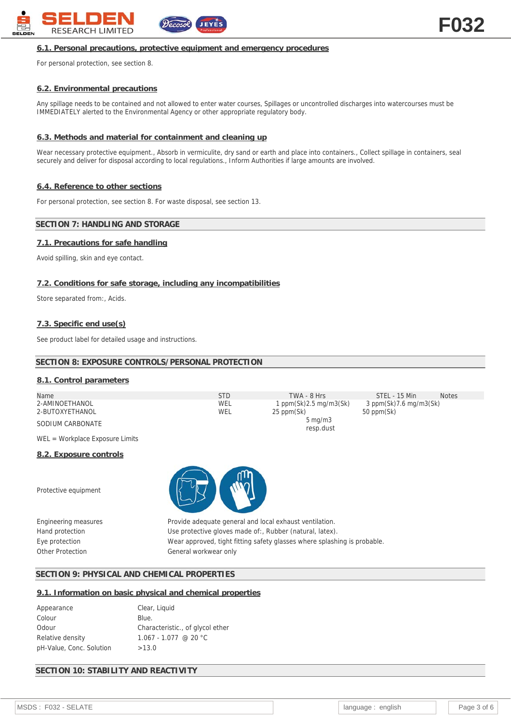

#### **6.1. Personal precautions, protective equipment and emergency procedures**

For personal protection, see section 8.

## **6.2. Environmental precautions**

Any spillage needs to be contained and not allowed to enter water courses, Spillages or uncontrolled discharges into watercourses must be IMMEDIATELY alerted to the Environmental Agency or other appropriate regulatory body.

#### **6.3. Methods and material for containment and cleaning up**

Wear necessary protective equipment., Absorb in vermiculite, dry sand or earth and place into containers., Collect spillage in containers, seal securely and deliver for disposal according to local regulations., Inform Authorities if large amounts are involved.

#### **6.4. Reference to other sections**

For personal protection, see section 8. For waste disposal, see section 13.

#### **SECTION 7: HANDLING AND STORAGE**

#### **7.1. Precautions for safe handling**

Avoid spilling, skin and eye contact.

## **7.2. Conditions for safe storage, including any incompatibilities**

Store separated from:, Acids.

#### **7.3. Specific end use(s)**

See product label for detailed usage and instructions.

## **SECTION 8: EXPOSURE CONTROLS/PERSONAL PROTECTION**

## **8.1. Control parameters**

| Name             | STD | TWA - 8 Hrs                   | STEL - 15 Min                  | <b>Notes</b> |
|------------------|-----|-------------------------------|--------------------------------|--------------|
| 2-AMINOETHANOL   | WEL | 1 ppm $(Sk)$ 2.5 mg/m $3(Sk)$ | $3$ ppm(Sk) $7.6$ mg/m $3(Sk)$ |              |
| 2-BUTOXYETHANOL  | WEL | 25 ppm(Sk)                    | 50 ppm(Sk)                     |              |
| SODIUM CARBONATE |     | $5 \text{ mg/m}$              |                                |              |
|                  |     | resp.dust                     |                                |              |

WEL = Workplace Exposure Limits

#### **8.2. Exposure controls**

Protective equipment



Engineering measures Provide adequate general and local exhaust ventilation. Hand protection Use protective gloves made of:, Rubber (natural, latex). Eye protection Wear approved, tight fitting safety glasses where splashing is probable. Other Protection General workwear only

## **SECTION 9: PHYSICAL AND CHEMICAL PROPERTIES**

#### **9.1. Information on basic physical and chemical properties**

| Appearance               | Clear, Liquid                    |
|--------------------------|----------------------------------|
| Colour                   | Blue.                            |
| Odour                    | Characteristic., of glycol ether |
| Relative density         | $1.067 - 1.077$ @ 20 °C          |
| pH-Value, Conc. Solution | >13.0                            |

## **SECTION 10: STABILITY AND REACTIVITY**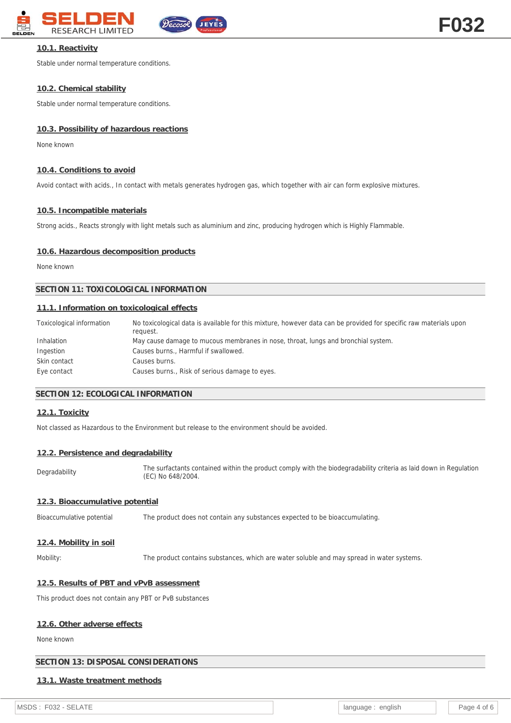

## **10.1. Reactivity**

Stable under normal temperature conditions.

## **10.2. Chemical stability**

Stable under normal temperature conditions.

## **10.3. Possibility of hazardous reactions**

None known

## **10.4. Conditions to avoid**

Avoid contact with acids., In contact with metals generates hydrogen gas, which together with air can form explosive mixtures.

## **10.5. Incompatible materials**

Strong acids., Reacts strongly with light metals such as aluminium and zinc, producing hydrogen which is Highly Flammable.

## **10.6. Hazardous decomposition products**

None known

## **SECTION 11: TOXICOLOGICAL INFORMATION**

## **11.1. Information on toxicological effects**

| Toxicological information | No toxicological data is available for this mixture, however data can be provided for specific raw materials upon<br>request. |
|---------------------------|-------------------------------------------------------------------------------------------------------------------------------|
| Inhalation                | May cause damage to mucous membranes in nose, throat, lungs and bronchial system.                                             |
| Ingestion                 | Causes burns., Harmful if swallowed.                                                                                          |
| Skin contact              | Causes burns.                                                                                                                 |
| Eye contact               | Causes burns., Risk of serious damage to eyes.                                                                                |

## **SECTION 12: ECOLOGICAL INFORMATION**

## **12.1. Toxicity**

Not classed as Hazardous to the Environment but release to the environment should be avoided.

#### **12.2. Persistence and degradability**

Degradability The surfactants contained within the product comply with the biodegradability criteria as laid down in Regulation (EC) No 648/2004.

## **12.3. Bioaccumulative potential**

Bioaccumulative potential The product does not contain any substances expected to be bioaccumulating.

#### **12.4. Mobility in soil**

Mobility: The product contains substances, which are water soluble and may spread in water systems.

## **12.5. Results of PBT and vPvB assessment**

This product does not contain any PBT or PvB substances

## **12.6. Other adverse effects**

None known

## **SECTION 13: DISPOSAL CONSIDERATIONS**

## **13.1. Waste treatment methods**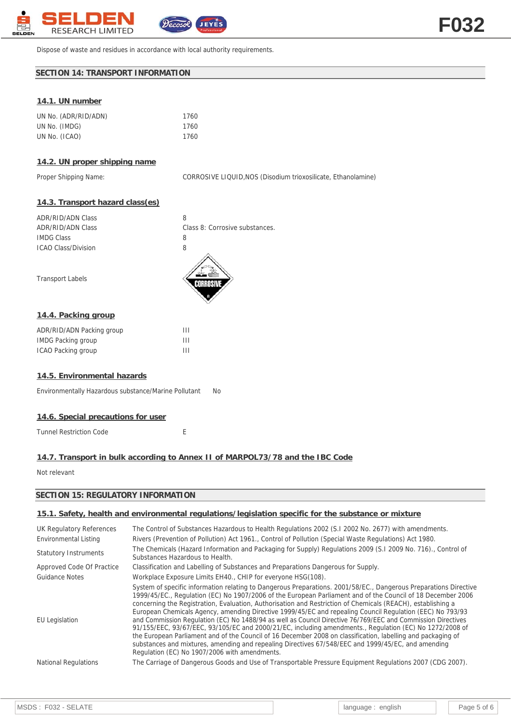

Dispose of waste and residues in accordance with local authority requirements.

## **SECTION 14: TRANSPORT INFORMATION**

## **14.1. UN number**

| UN No. (ADR/RID/ADN) | 1760 |
|----------------------|------|
| UN No. (IMDG)        | 1760 |
| UN No. (ICAO)        | 1760 |

## **14.2. UN proper shipping name**

Proper Shipping Name: CORROSIVE LIQUID, NOS (Disodium trioxosilicate, Ethanolamine)

## **14.3. Transport hazard class(es)**

| ADR/RID/ADN Class   | 8                              |
|---------------------|--------------------------------|
| ADR/RID/ADN Class   | Class 8: Corrosive substances. |
| IMDG Class          | Χ                              |
| ICAO Class/Division | 8                              |
|                     |                                |

Transport Labels



#### **14.4. Packing group**

| ADR/RID/ADN Packing group | Ш |
|---------------------------|---|
| <b>IMDG Packing group</b> | Ш |
| ICAO Packing group        | Ш |

#### **14.5. Environmental hazards**

Environmentally Hazardous substance/Marine Pollutant No

#### **14.6. Special precautions for user**

Tunnel Restriction Code **Exercise E** 

## **14.7. Transport in bulk according to Annex II of MARPOL73/78 and the IBC Code**

Not relevant

## **SECTION 15: REGULATORY INFORMATION**

## **15.1. Safety, health and environmental regulations/legislation specific for the substance or mixture**

| <b>UK Regulatory References</b> | The Control of Substances Hazardous to Health Regulations 2002 (S.1 2002 No. 2677) with amendments.                                                                                                                                                                                                                                                                                                                                                                                                                                                                                                                                                                                                                                                                                                                                                                                                                                                          |
|---------------------------------|--------------------------------------------------------------------------------------------------------------------------------------------------------------------------------------------------------------------------------------------------------------------------------------------------------------------------------------------------------------------------------------------------------------------------------------------------------------------------------------------------------------------------------------------------------------------------------------------------------------------------------------------------------------------------------------------------------------------------------------------------------------------------------------------------------------------------------------------------------------------------------------------------------------------------------------------------------------|
| Environmental Listing           | Rivers (Prevention of Pollution) Act 1961., Control of Pollution (Special Waste Regulations) Act 1980.                                                                                                                                                                                                                                                                                                                                                                                                                                                                                                                                                                                                                                                                                                                                                                                                                                                       |
| <b>Statutory Instruments</b>    | The Chemicals (Hazard Information and Packaging for Supply) Regulations 2009 (S.I 2009 No. 716)., Control of<br>Substances Hazardous to Health.                                                                                                                                                                                                                                                                                                                                                                                                                                                                                                                                                                                                                                                                                                                                                                                                              |
| Approved Code Of Practice       | Classification and Labelling of Substances and Preparations Dangerous for Supply.                                                                                                                                                                                                                                                                                                                                                                                                                                                                                                                                                                                                                                                                                                                                                                                                                                                                            |
| <b>Guidance Notes</b>           | Workplace Exposure Limits EH40., CHIP for everyone HSG(108).                                                                                                                                                                                                                                                                                                                                                                                                                                                                                                                                                                                                                                                                                                                                                                                                                                                                                                 |
| <b>EU</b> Legislation           | System of specific information relating to Dangerous Preparations. 2001/58/EC., Dangerous Preparations Directive<br>1999/45/EC., Regulation (EC) No 1907/2006 of the European Parliament and of the Council of 18 December 2006<br>concerning the Registration, Evaluation, Authorisation and Restriction of Chemicals (REACH), establishing a<br>European Chemicals Agency, amending Directive 1999/45/EC and repealing Council Regulation (EEC) No 793/93<br>and Commission Regulation (EC) No 1488/94 as well as Council Directive 76/769/EEC and Commission Directives<br>91/155/EEC, 93/67/EEC, 93/105/EC and 2000/21/EC, including amendments., Regulation (EC) No 1272/2008 of<br>the European Parliament and of the Council of 16 December 2008 on classification, labelling and packaging of<br>substances and mixtures, amending and repealing Directives 67/548/EEC and 1999/45/EC, and amending<br>Regulation (EC) No 1907/2006 with amendments. |
| <b>National Regulations</b>     | The Carriage of Dangerous Goods and Use of Transportable Pressure Equipment Regulations 2007 (CDG 2007).                                                                                                                                                                                                                                                                                                                                                                                                                                                                                                                                                                                                                                                                                                                                                                                                                                                     |
|                                 |                                                                                                                                                                                                                                                                                                                                                                                                                                                                                                                                                                                                                                                                                                                                                                                                                                                                                                                                                              |